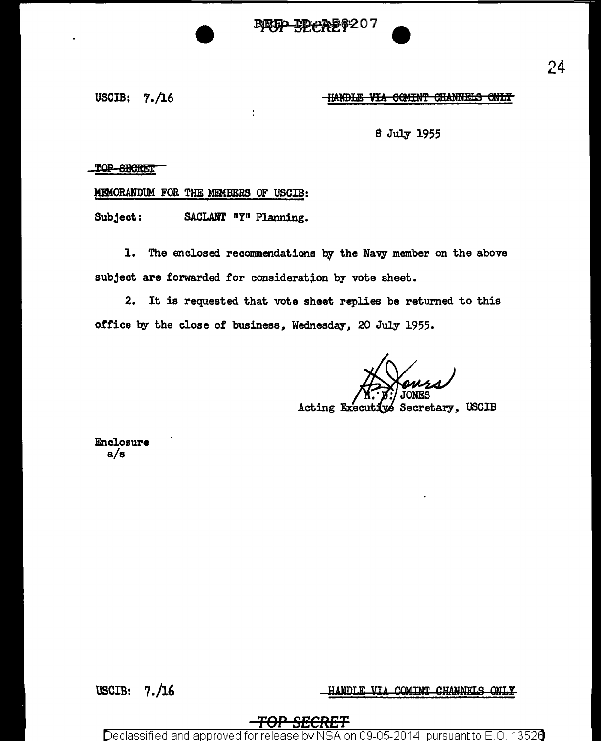JD-0258207



### **HANDLE VIA COMINT CHANNELS ONLY**

8 July 1955

#### TOP SECRET

### MDIORANDUM FOR THE MEMBERS OF USCIB:

J.

Subject: SACLANT "Y" Planning.

1. The enclosed recommendations by the Navy member on the above subject are forwarded for consideration by vote sheet.

2. It is requested that vote sheet replies be returned to this office by the close of business, Wednesday, 20 July 1955.

' *:* JONES

Acting Executive Secretary, USCIB

Enclosure a/a

USCIB: 7./16 HANDLE VIA COMINT CHANNELS ONLY

# *TOP SECRET*

Declassified and approved for release by NSA on 09-05-2014 pursuant to